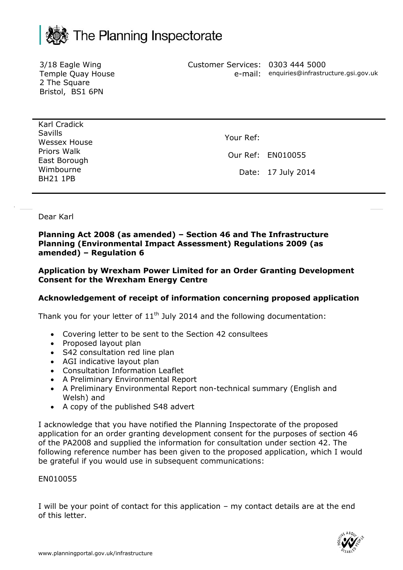

3/18 Eagle Wing Temple Quay House 2 The Square Bristol, BS1 6PN

Customer Services: 0303 444 5000 e-mail: enquiries@infrastructure.gsi.gov.uk

Karl Cradick Savills Wessex House Priors Walk East Borough Wimbourne BH21 1PB

Your Ref:

Our Ref: EN010055

Date: 17 July 2014

Dear Karl

## **Planning Act 2008 (as amended) – Section 46 and The Infrastructure Planning (Environmental Impact Assessment) Regulations 2009 (as amended) – Regulation 6**

**Application by Wrexham Power Limited for an Order Granting Development Consent for the Wrexham Energy Centre** 

## **Acknowledgement of receipt of information concerning proposed application**

Thank you for your letter of  $11<sup>th</sup>$  July 2014 and the following documentation:

- Covering letter to be sent to the Section 42 consultees
- Proposed layout plan
- S42 consultation red line plan
- AGI indicative layout plan
- Consultation Information Leaflet
- A Preliminary Environmental Report
- A Preliminary Environmental Report non-technical summary (English and Welsh) and
- A copy of the published S48 advert

I acknowledge that you have notified the Planning Inspectorate of the proposed application for an order granting development consent for the purposes of section 46 of the PA2008 and supplied the information for consultation under section 42. The following reference number has been given to the proposed application, which I would be grateful if you would use in subsequent communications:

## EN010055

I will be your point of contact for this application – my contact details are at the end of this letter.